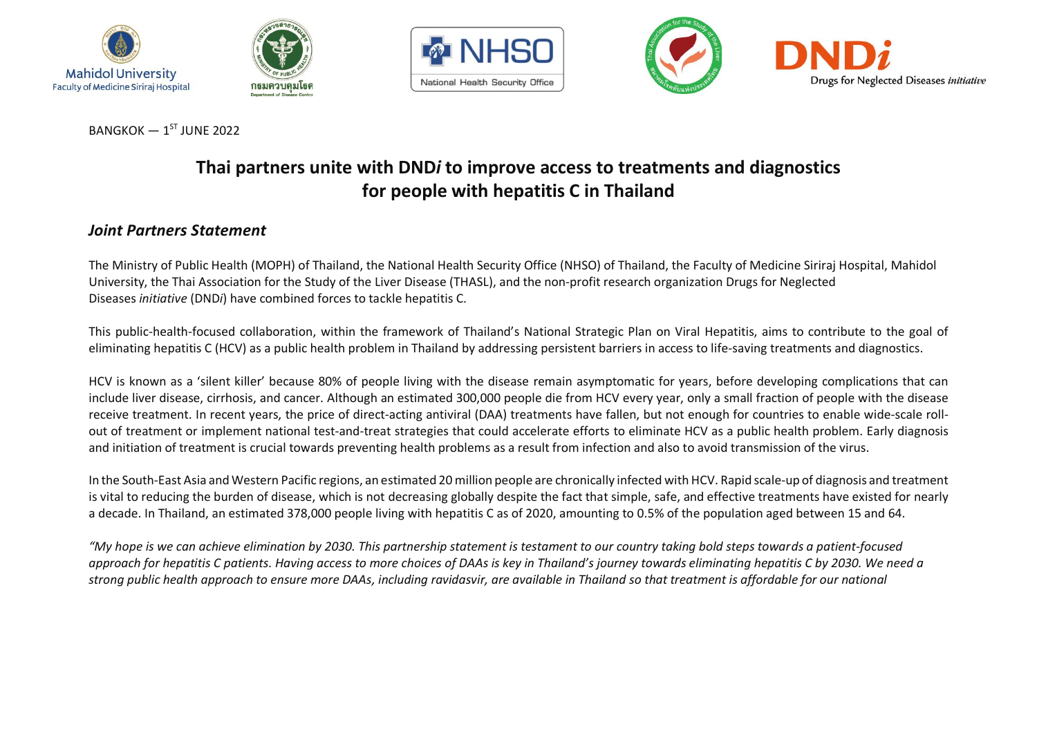







 $B$ ANGKOK  $-1$ <sup>ST</sup> JUNE 2022

# **Thai partners unite with DND***i* **to improve access to treatments and diagnostics for people with hepatitis C in Thailand**

# *Joint Partners Statement*

The Ministry of Public Health (MOPH) of Thailand, the National Health Security Office (NHSO) of Thailand, the Faculty of Medicine Siriraj Hospital, Mahidol University, the Thai Association for the Study of the Liver Disease (THASL), and the non-profit research organization Drugs for Neglected Diseases *initiative* (DND*i*) have combined forces to tackle hepatitis C.

This public-health-focused collaboration, within the framework of Thailand's National Strategic Plan on Viral Hepatitis, aims to contribute to the goal of eliminating hepatitis C (HCV) as a public health problem in Thailand by addressing persistent barriers in access to life-saving treatments and diagnostics.

HCV is known as a 'silent killer' because 80% of people living with the disease remain asymptomatic for years, before developing complications that can include liver disease, cirrhosis, and cancer. Although an estimated 300,000 people die from HCV every year, only a small fraction of people with the disease receive treatment. In recent years, the price of direct-acting antiviral (DAA) treatments have fallen, but not enough for countries to enable wide-scale rollout of treatment or implement national test-and-treat strategies that could accelerate efforts to eliminate HCV as a public health problem. Early diagnosis and initiation of treatment is crucial towards preventing health problems as a result from infection and also to avoid transmission of the virus.

In the South-East Asia and Western Pacific regions, an estimated 20 million people are chronically infected with HCV. Rapid scale-up of diagnosis and treatment is vital to reducing the burden of disease, which is not decreasing globally despite the fact that simple, safe, and effective treatments have existed for nearly a decade. In Thailand, an estimated 378,000 people living with hepatitis C as of 2020, amounting to 0.5% of the population aged between 15 and 64.

*"My hope is we can achieve elimination by 2030. This partnership statement is testament to our country taking bold steps towards a patient-focused approach for hepatitis C patients. Having access to more choices of DAAs is key in Thailand's journey towards eliminating hepatitis C by 2030. We need a strong public health approach to ensure more DAAs, including ravidasvir, are available in Thailand so that treatment is affordable for our national*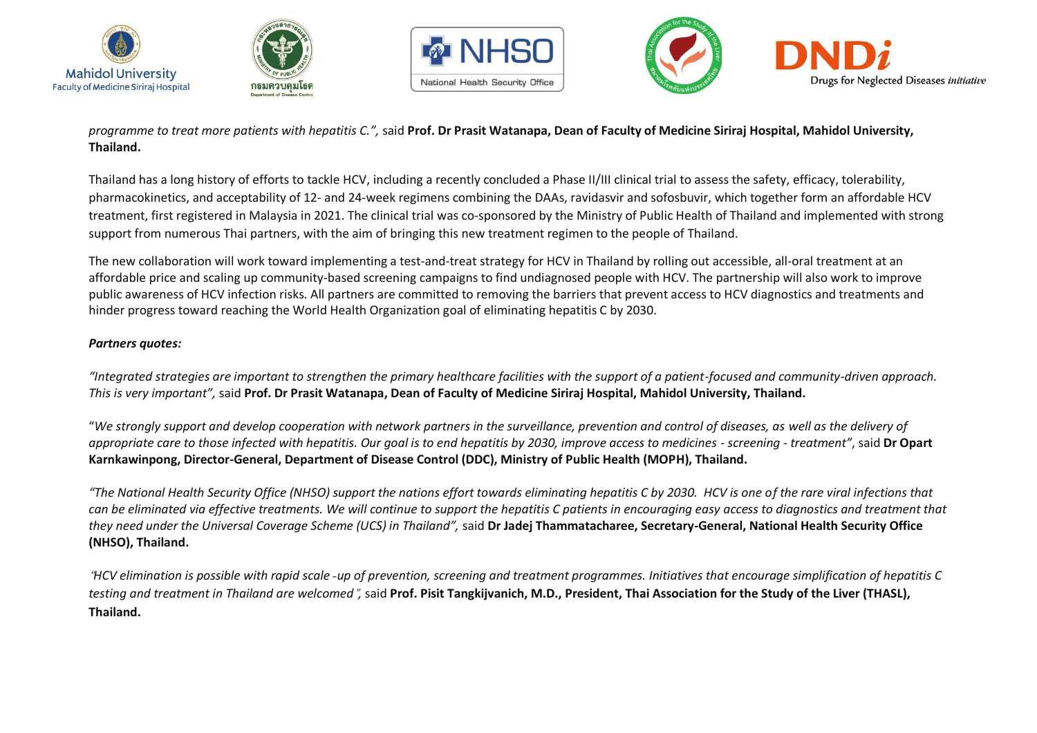







*programme to treat more patients with hepatitis C.",* said **Prof. Dr Prasit Watanapa, Dean of Faculty of Medicine Siriraj Hospital, Mahidol University, Thailand.** 

Thailand has a long history of efforts to tackle HCV, including a recently concluded a Phase II/III clinical trial to assess the safety, efficacy, tolerability, pharmacokinetics, and acceptability of 12- and 24-week regimens combining the DAAs, ravidasvir and sofosbuvir, which together form an affordable HCV treatment, first registered in Malaysia in 2021. The clinical trial was co-sponsored by the Ministry of Public Health of Thailand and implemented with strong support from numerous Thai partners, with the aim of bringing this new treatment regimen to the people of Thailand.

The new collaboration will work toward implementing a test-and-treat strategy for HCV in Thailand by rolling out accessible, all-oral treatment at an affordable price and scaling up community-based screening campaigns to find undiagnosed people with HCV. The partnership will also work to improve public awareness of HCV infection risks. All partners are committed to removing the barriers that prevent access to HCV diagnostics and treatments and hinder progress toward reaching the World Health Organization goal of eliminating hepatitis C by 2030.

### *Partners quotes:*

*"Integrated strategies are important to strengthen the primary healthcare facilities with the support of a patient-focused and community-driven approach. This is very important",* said **Prof. Dr Prasit Watanapa, Dean of Faculty of Medicine Siriraj Hospital, Mahidol University, Thailand.**

"*We strongly support and develop cooperation with network partners in the surveillance, prevention and control of diseases, as well as the delivery of appropriate care to those infected with hepatitis. Our goal is to end hepatitis by 2030, improve access to medicines - screening - treatment"*, said **Dr Opart Karnkawinpong, Director-General, Department of Disease Control (DDC), Ministry of Public Health (MOPH), Thailand.**

*"The National Health Security Office (NHSO) support the nations effort towards eliminating hepatitis C by 2030. HCV is one of the rare viral infections that can be eliminated via effective treatments. We will continue to support the hepatitis C patients in encouraging easy access to diagnostics and treatment that they need under the Universal Coverage Scheme (UCS) in Thailand",* said **Dr Jadej Thammatacharee, Secretary-General, National Health Security Office (NHSO), Thailand.**

"*HCV elimination is possible with rapid scale*‐*up of prevention, screening and treatment programmes. Initiatives that encourage simplification of hepatitis C testing and treatment in Thailand are welcomed*"*,* said **Prof. Pisit Tangkijvanich, M.D., President, Thai Association for the Study of the Liver (THASL), Thailand.**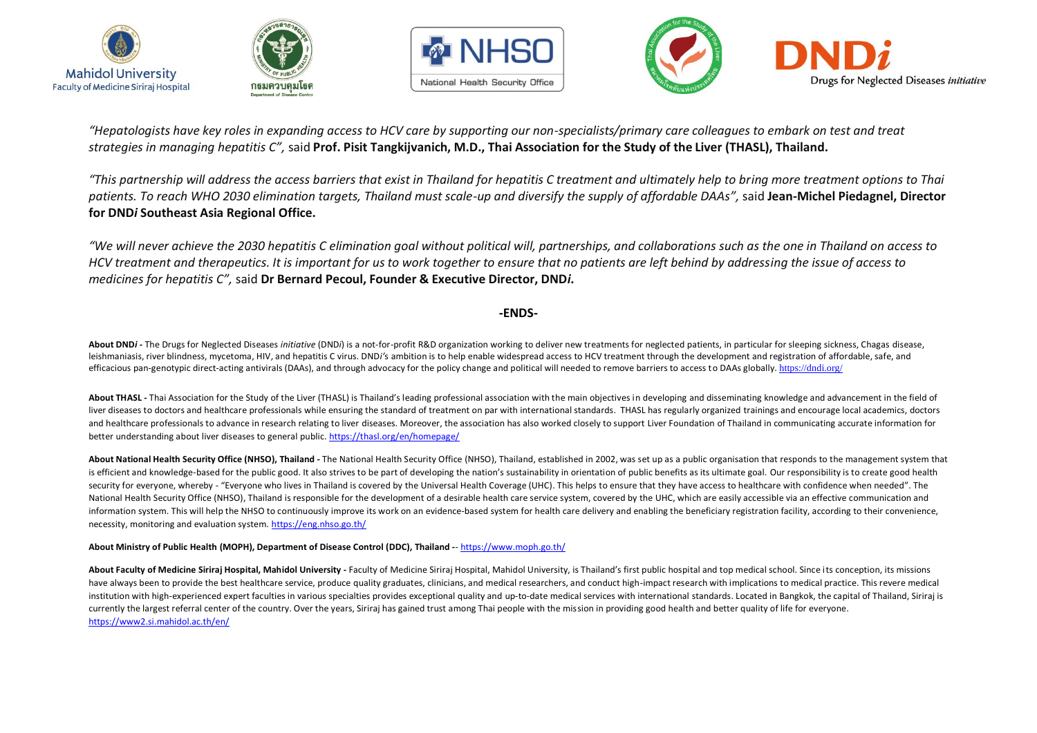







"Hepatologists have key roles in expanding access to HCV care by supporting our non-specialists/primary care colleagues to embark on test and treat *strategies in managing hepatitis C",* said **Prof. Pisit Tangkijvanich, M.D., Thai Association for the Study of the Liver (THASL), Thailand.**

*"This partnership will address the access barriers that exist in Thailand for hepatitis C treatment and ultimately help to bring more treatment options to Thai patients. To reach WHO 2030 elimination targets, Thailand must scale-up and diversify the supply of affordable DAAs",* said **Jean-Michel Piedagnel, Director for DND***i* **Southeast Asia Regional Office.**

*"We will never achieve the 2030 hepatitis C elimination goal without political will, partnerships, and collaborations such as the one in Thailand on access to HCV treatment and therapeutics. It is important for us to work together to ensure that no patients are left behind by addressing the issue of access to medicines for hepatitis C",* said **Dr Bernard Pecoul, Founder & Executive Director, DND***i***.**

#### **-ENDS-**

About DNDi - The Drugs for Neglected Diseases initiative (DNDi) is a not-for-profit R&D organization working to deliver new treatments for neglected patients, in particular for sleeping sickness, Chagas disease, leishmaniasis, river blindness, mycetoma, HIV, and hepatitis C virus. DND*i'*s ambition is to help enable widespread access to HCV treatment through the development and registration of affordable, safe, and efficacious pan-genotypic direct-acting antivirals (DAAs), and through advocacy for the policy change and political will needed to remove barriers to access to DAAs globally. <https://dndi.org/>

**About THASL -** Thai Association for the Study of the Liver (THASL) is Thailand's leading professional association with the main objectives in developing and disseminating knowledge and advancement in the field of liver diseases to doctors and healthcare professionals while ensuring the standard of treatment on par with international standards. THASL has regularly organized trainings and encourage local academics, doctors and healthcare professionals to advance in research relating to liver diseases. Moreover, the association has also worked closely to support Liver Foundation of Thailand in communicating accurate information for better understanding about liver diseases to general public[. https://thasl.org/en/homepage/](https://thasl.org/en/homepage/)

About National Health Security Office (NHSO), Thailand - The National Health Security Office (NHSO), Thailand, established in 2002, was set up as a public organisation that responds to the management system that is efficient and knowledge-based for the public good. It also strives to be part of developing the nation's sustainability in orientation of public benefits as its ultimate goal. Our responsibility is to create good health security for everyone, whereby - "Everyone who lives in Thailand is covered by the Universal Health Coverage (UHC). This helps to ensure that they have access to healthcare with confidence when needed". The National Health Security Office (NHSO), Thailand is responsible for the development of a desirable health care service system, covered by the UHC, which are easily accessible via an effective communication and information system. This will help the NHSO to continuously improve its work on an evidence-based system for health care delivery and enabling the beneficiary registration facility, according to their convenience, necessity, monitoring and evaluation system. <https://eng.nhso.go.th/>

#### **About Ministry of Public Health (MOPH), Department of Disease Control (DDC), Thailand -**- <https://www.moph.go.th/>

About Faculty of Medicine Siriraj Hospital, Mahidol University - Faculty of Medicine Siriraj Hospital, Mahidol University, is Thailand's first public hospital and top medical school. Since its conception, its missions have always been to provide the best healthcare service, produce quality graduates, clinicians, and medical researchers, and conduct high-impact research with implications to medical practice. This revere medical institution with high-experienced expert faculties in various specialties provides exceptional quality and up-to-date medical services with international standards. Located in Bangkok, the capital of Thailand, Siriraj is currently the largest referral center of the country. Over the years, Siriraj has gained trust among Thai people with the mission in providing good health and better quality of life for everyone. <https://www2.si.mahidol.ac.th/en/>